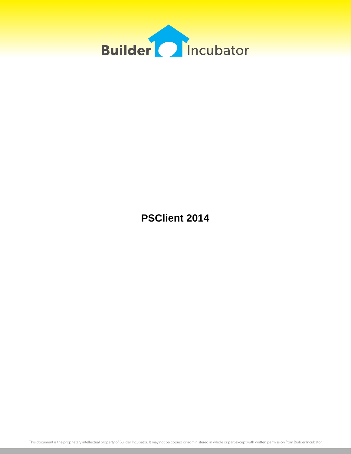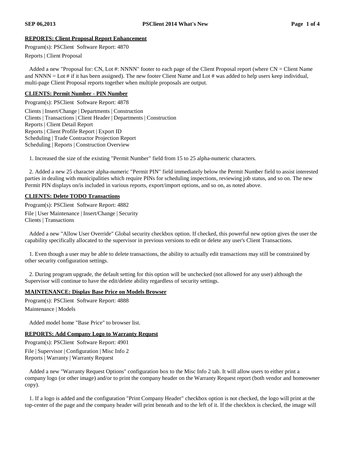# **REPORTS: Client Proposal Report Enhancement**

Program(s): PSClient Software Report: 4870

Reports | Client Proposal

Added a new "Proposal for: CN, Lot #: NNNN" footer to each page of the Client Proposal report (where  $CN =$  Client Name and  $NNNN =$  Lot # if it has been assigned). The new footer Client Name and Lot # was added to help users keep individual, multi-page Client Proposal reports together when multiple proposals are output.

#### **CLIENTS: Permit Number - PIN Number**

Program(s): PSClient Software Report: 4878 Clients | Insert/Change | Departments | Construction Clients | Transactions | Client Header | Departments | Construction Reports | Client Detail Report Reports | Client Profile Report | Export ID Scheduling | Trade Contractor Projection Report Scheduling | Reports | Construction Overview

1. Increased the size of the existing "Permit Number" field from 15 to 25 alpha-numeric characters.

2. Added a new 25 character alpha-numeric "Permit PIN" field immediately below the Permit Number field to assist interested parties in dealing with municipalities which require PINs for scheduling inspections, reviewing job status, and so on. The new Permit PIN displays on/is included in various reports, export/import options, and so on, as noted above.

# **CLIENTS: Delete TODO Transactions**

Program(s): PSClient Software Report: 4882 File | User Maintenance | Insert/Change | Security Clients | Transactions

Added a new "Allow User Override" Global security checkbox option. If checked, this powerful new option gives the user the capability specifically allocated to the supervisor in previous versions to edit or delete any user's Client Transactions.

1. Even though a user may be able to delete transactions, the ability to actually edit transactions may still be constrained by other security configuration settings.

2. During program upgrade, the default setting for this option will be unchecked (not allowed for any user) although the Supervisor will continue to have the edit/delete ability regardless of security settings.

# **MAINTENANCE: Display Base Price on Models Browser**

Program(s): PSClient Software Report: 4888 Maintenance | Models

Added model home "Base Price" to browser list.

# **REPORTS: Add Company Logo to Warranty Request**

Program(s): PSClient Software Report: 4901 File | Supervisor | Configuration | Misc Info 2 Reports | Warranty | Warranty Request

Added a new "Warranty Request Options" configuration box to the Misc Info 2 tab. It will allow users to either print a company logo (or other image) and/or to print the company header on the Warranty Request report (both vendor and homeowner copy).

1. If a logo is added and the configuration "Print Company Header" checkbox option is not checked, the logo will print at the top-center of the page and the company header will print beneath and to the left of it. If the checkbox is checked, the image will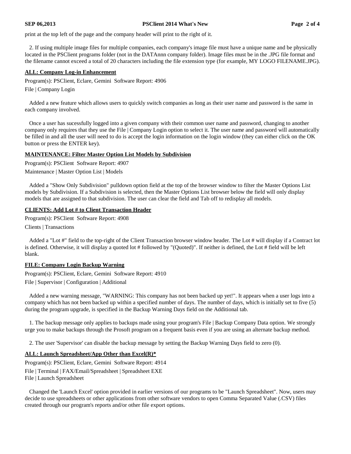#### **SEP 06,2013 PSClient 2014 What's New Page 2 of 4**

print at the top left of the page and the company header will print to the right of it.

2. If using multiple image files for multiple companies, each company's image file must have a unique name and be physically located in the PSClient programs folder (not in the DATAnnn company folder). Image files must be in the .JPG file format and the filename cannot exceed a total of 20 characters including the file extension type (for example, MY LOGO FILENAME.JPG).

#### **ALL: Company Log-in Enhancement**

Program(s): PSClient, Eclare, Gemini Software Report: 4906

File | Company Login

Added a new feature which allows users to quickly switch companies as long as their user name and password is the same in each company involved.

Once a user has sucessfully logged into a given company with their common user name and password, changing to another company only requires that they use the File | Company Login option to select it. The user name and password will automatically be filled in and all the user will need to do is accept the login information on the login window (they can either click on the OK button or press the ENTER key).

#### **MAINTENANCE: Filter Master Option List Models by Subdivision**

Program(s): PSClient Software Report: 4907

Maintenance | Master Option List | Models

Added a "Show Only Subdivision" pulldown option field at the top of the browser window to filter the Master Options List models by Subdivision. If a Subdivision is selected, then the Master Options List browser below the field will only display models that are assigned to that subdivision. The user can clear the field and Tab off to redisplay all models.

# **CLIENTS: Add Lot # to Client Transaction Header**

Program(s): PSClient Software Report: 4908

Clients | Transactions

Added a "Lot #" field to the top-right of the Client Transaction browser window header. The Lot # will display if a Contract lot is defined. Otherwise, it will display a quoted lot # followed by "(Quoted)". If neither is defined, the Lot # field will be left blank.

#### **FILE: Company Login Backup Warning**

Program(s): PSClient, Eclare, Gemini Software Report: 4910

File | Supervisor | Configuration | Additional

Added a new warning message, "WARNING: This company has not been backed up yet!". It appears when a user logs into a company which has not been backed up within a specified number of days. The number of days, which is initially set to five (5) during the program upgrade, is specified in the Backup Warning Days field on the Additional tab.

1. The backup message only applies to backups made using your program's File | Backup Company Data option. We strongly urge you to make backups through the Prosoft program on a frequent basis even if you are using an alternate backup method.

2. The user 'Supervisor' can disable the backup message by setting the Backup Warning Days field to zero (0).

#### **ALL: Launch Spreadsheet/App Other than Excel(R)\***

Program(s): PSClient, Eclare, Gemini Software Report: 4914

File | Terminal | FAX/Email/Spreadsheet | Spreadsheet EXE File | Launch Spreadsheet

Changed the 'Launch Excel' option provided in earlier versions of our programs to be "Launch Spreadsheet". Now, users may decide to use spreadsheets or other applications from other software vendors to open Comma Separated Value (.CSV) files created through our program's reports and/or other file export options.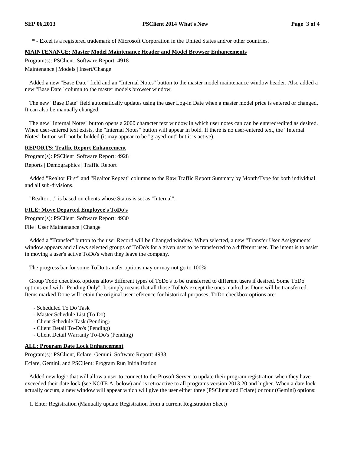\* - Excel is a registered trademark of Microsoft Corporation in the United States and/or other countries.

#### **MAINTENANCE: Master Model Maintenance Header and Model Browser Enhancements**

Program(s): PSClient Software Report: 4918

Maintenance | Models | Insert/Change

Added a new "Base Date" field and an "Internal Notes" button to the master model maintenance window header. Also added a new "Base Date" column to the master models browser window.

The new "Base Date" field automatically updates using the user Log-in Date when a master model price is entered or changed. It can also be manually changed.

The new "Internal Notes" button opens a 2000 character text window in which user notes can can be entered/edited as desired. When user-entered text exists, the "Internal Notes" button will appear in bold. If there is no user-entered text, the "Internal Notes" button will not be bolded (it may appear to be "grayed-out" but it is active).

# **REPORTS: Traffic Report Enhancement**

Program(s): PSClient Software Report: 4928 Reports | Demographics | Traffic Report

Added "Realtor First" and "Realtor Repeat" columns to the Raw Traffic Report Summary by Month/Type for both individual and all sub-divisions.

"Realtor ..." is based on clients whose Status is set as "Internal".

# **FILE: Move Departed Employee's ToDo's**

Program(s): PSClient Software Report: 4930

File | User Maintenance | Change

Added a "Transfer" button to the user Record will be Changed window. When selected, a new "Transfer User Assignments" window appears and allows selected groups of ToDo's for a given user to be transferred to a different user. The intent is to assist in moving a user's active ToDo's when they leave the company.

The progress bar for some ToDo transfer options may or may not go to 100%.

Group Todo checkbox options allow different types of ToDo's to be transferred to different users if desired. Some ToDo options end with "Pending Only". It simply means that all those ToDo's except the ones marked as Done will be transferred. Items marked Done will retain the original user reference for historical purposes. ToDo checkbox options are:

- Scheduled To Do Task
- Master Schedule List (To Do)
- Client Schedule Task (Pending)
- Client Detail To-Do's (Pending)
- Client Detail Warranty To-Do's (Pending)

# **ALL: Program Date Lock Enhancement**

Program(s): PSClient, Eclare, Gemini Software Report: 4933 Eclare, Gemini, and PSClient: Program Run Initialization

Added new logic that will allow a user to connect to the Prosoft Server to update their program registration when they have exceeded their date lock (see NOTE A, below) and is retroactive to all programs version 2013.20 and higher. When a date lock actually occurs, a new window will appear which will give the user either three (PSClient and Eclare) or four (Gemini) options:

1. Enter Registration (Manually update Registration from a current Registration Sheet)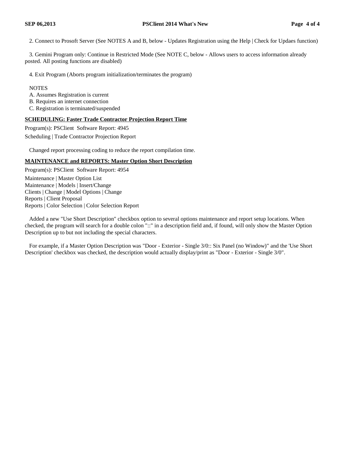2. Connect to Prosoft Server (See NOTES A and B, below - Updates Registration using the Help | Check for Updaes function)

3. Gemini Program only: Continue in Restricted Mode (See NOTE C, below - Allows users to access information already posted. All posting functions are disabled)

4. Exit Program (Aborts program initialization/terminates the program)

#### **NOTES**

A. Assumes Registration is current

B. Requires an internet connection

C. Registration is terminated/suspended

# **SCHEDULING: Faster Trade Contractor Projection Report Time**

Program(s): PSClient Software Report: 4945

Scheduling | Trade Contractor Projection Report

Changed report processing coding to reduce the report compilation time.

# **MAINTENANCE and REPORTS: Master Option Short Description**

Program(s): PSClient Software Report: 4954

Maintenance | Master Option List Maintenance | Models | Insert/Change Clients | Change | Model Options | Change Reports | Client Proposal Reports | Color Selection | Color Selection Report

Added a new "Use Short Description" checkbox option to several options maintenance and report setup locations. When checked, the program will search for a double colon "::" in a description field and, if found, will only show the Master Option Description up to but not including the special characters.

For example, if a Master Option Description was "Door - Exterior - Single 3/0:: Six Panel (no Window)" and the 'Use Short Description' checkbox was checked, the description would actually display/print as "Door - Exterior - Single 3/0".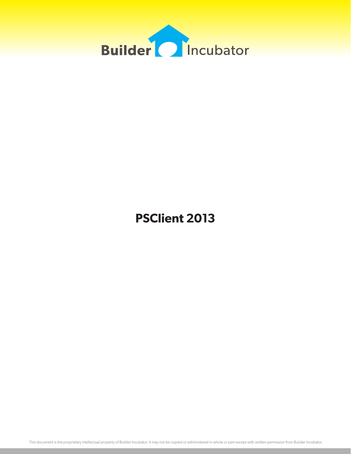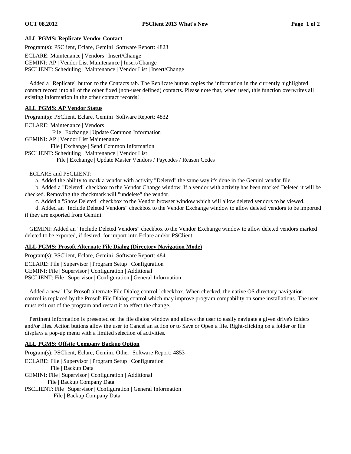#### **ALL PGMS: Replicate Vendor Contact**

Program(s): PSClient, Eclare, Gemini Software Report: 4823

ECLARE: Maintenance | Vendors | Insert/Change

GEMINI: AP | Vendor List Maintenance | Insert/Change

PSCLIENT: Scheduling | Maintenance | Vendor List | Insert/Change

Added a "Replicate" button to the Contacts tab. The Replicate button copies the information in the currently highlighted contact record into all of the other fixed (non-user defined) contacts. Please note that, when used, this function overwrites all existing information in the other contact records!

#### **ALL PGMS: AP Vendor Status**

Program(s): PSClient, Eclare, Gemini Software Report: 4832

ECLARE: Maintenance | Vendors

File | Exchange | Update Common Information

GEMINI: AP | Vendor List Maintenance

File | Exchange | Send Common Information

PSCLIENT: Scheduling | Maintenance | Vendor List

File | Exchange | Update Master Vendors / Paycodes / Reason Codes

#### ECLARE and PSCLIENT:

a. Added the ability to mark a vendor with activity "Deleted" the same way it's done in the Gemini vendor file.

b. Added a "Deleted" checkbox to the Vendor Change window. If a vendor with activity has been marked Deleted it will be checked. Removing the checkmark will "undelete" the vendor.

c. Added a "Show Deleted" checkbox to the Vendor browser window which will allow deleted vendors to be viewed.

d. Added an "Include Deleted Vendors" checkbox to the Vendor Exchange window to allow deleted vendors to be imported if they are exported from Gemini.

GEMINI: Added an "Include Deleted Vendors" checkbox to the Vendor Exchange window to allow deleted vendors marked deleted to be exported, if desired, for import into Eclare and/or PSClient.

# **ALL PGMS: Prosoft Alternate File Dialog (Directory Navigation Mode)**

Program(s): PSClient, Eclare, Gemini Software Report: 4841 ECLARE: File | Supervisor | Program Setup | Configuration GEMINI: File | Supervisor | Configuration | Additional PSCLIENT: File | Supervisor | Configuration | General Information

Added a new "Use Prosoft alternate File Dialog control" checkbox. When checked, the native OS directory navigation control is replaced by the Prosoft File Dialog control which may improve program compability on some installations. The user must exit out of the program and restart it to effect the change.

Pertinent information is presented on the file dialog window and allows the user to easily navigate a given drive's folders and/or files. Action buttons allow the user to Cancel an action or to Save or Open a file. Right-clicking on a folder or file displays a pop-up menu with a limited selection of activities.

# **ALL PGMS: Offsite Company Backup Option**

Program(s): PSClient, Eclare, Gemini, Other Software Report: 4853 ECLARE: File | Supervisor | Program Setup | Configuration File | Backup Data GEMINI: File | Supervisor | Configuration | Additional File | Backup Company Data PSCLIENT: File | Supervisor | Configuration | General Information File | Backup Company Data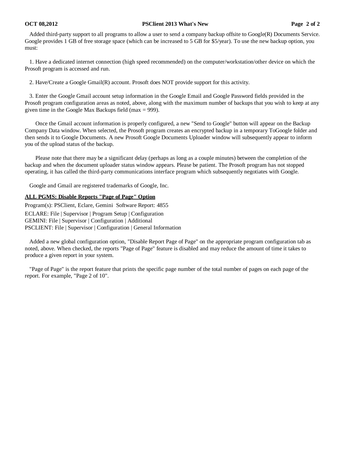#### **OCT 08,2012 PSClient 2013 What's New Page 2 of 2**

Added third-party support to all programs to allow a user to send a company backup offsite to Google(R) Documents Service. Google provides 1 GB of free storage space (which can be increased to 5 GB for \$5/year). To use the new backup option, you must:

1. Have a dedicated internet connection (high speed recommended) on the computer/workstation/other device on which the Prosoft program is accessed and run.

2. Have/Create a Google Gmail(R) account. Prosoft does NOT provide support for this activity.

3. Enter the Google Gmail account setup information in the Google Email and Google Password fields provided in the Prosoft program configuration areas as noted, above, along with the maximum number of backups that you wish to keep at any given time in the Google Max Backups field (max = 999).

Once the Gmail account information is properly configured, a new "Send to Google" button will appear on the Backup Company Data window. When selected, the Prosoft program creates an encrypted backup in a temporary ToGoogle folder and then sends it to Google Documents. A new Prosoft Google Documents Uploader window will subsequently appear to inform you of the upload status of the backup.

Please note that there may be a significant delay (perhaps as long as a couple minutes) between the completion of the backup and when the document uploader status window appears. Please be patient. The Prosoft program has not stopped operating, it has called the third-party communications interface program which subsequently negotiates with Google.

Google and Gmail are registered trademarks of Google, Inc.

# **ALL PGMS: Disable Reports "Page of Page" Option**

Program(s): PSClient, Eclare, Gemini Software Report: 4855 ECLARE: File | Supervisor | Program Setup | Configuration GEMINI: File | Supervisor | Configuration | Additional PSCLIENT: File | Supervisor | Configuration | General Information

Added a new global configuration option, "Disable Report Page of Page" on the appropriate program configuration tab as noted, above. When checked, the reports "Page of Page" feature is disabled and may reduce the amount of time it takes to produce a given report in your system.

"Page of Page" is the report feature that prints the specific page number of the total number of pages on each page of the report. For example, "Page 2 of 10".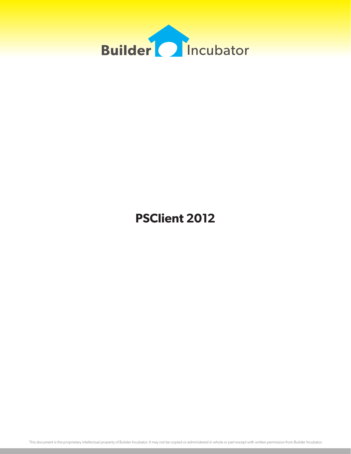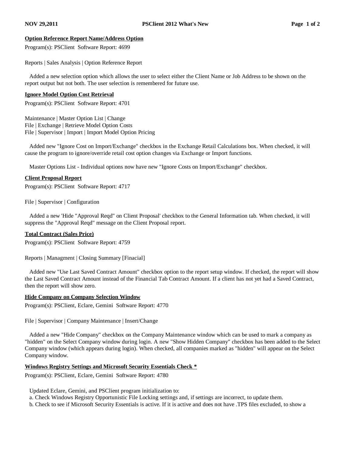# **Option Reference Report Name/Address Option**

Program(s): PSClient Software Report: 4699

Reports | Sales Analysis | Option Reference Report

 Added a new selection option which allows the user to select either the Client Name or Job Address to be shown on the report output but not both. The user selection is remembered for future use.

#### **Ignore Model Option Cost Retrieval**

Program(s): PSClient Software Report: 4701

Maintenance | Master Option List | Change File | Exchange | Retrieve Model Option Costs File | Supervisor | Import | Import Model Option Pricing

 Added new "Ignore Cost on Import/Exchange" checkbox in the Exchange Retail Calculations box. When checked, it will cause the program to ignore/override retail cost option changes via Exchange or Import functions.

Master Options List - Individual options now have new "Ignore Costs on Import/Exchange" checkbox.

#### **Client Proposal Report**

Program(s): PSClient Software Report: 4717

File | Supervisor | Configuration

 Added a new 'Hide "Approval Reqd" on Client Proposal' checkbox to the General Information tab. When checked, it will suppress the "Approval Reqd" message on the Client Proposal report.

#### **Total Contract (Sales Price)**

Program(s): PSClient Software Report: 4759

Reports | Managment | Closing Summary [Finacial]

 Added new "Use Last Saved Contract Amount" checkbox option to the report setup window. If checked, the report will show the Last Saved Contract Amount instead of the Financial Tab Contract Amount. If a client has not yet had a Saved Contract, then the report will show zero.

#### **Hide Company on Company Selection Window**

Program(s): PSClient, Eclare, Gemini Software Report: 4770

File | Supervisor | Company Maintenance | Insert/Change

 Added a new "Hide Company" checkbox on the Company Maintenance window which can be used to mark a company as "hidden" on the Select Company window during login. A new "Show Hidden Company" checkbox has been added to the Select Company window (which appears during login). When checked, all companies marked as "hidden" will appear on the Select Company window.

#### **Windows Registry Settings and Microsoft Security Essentials Check \***

Program(s): PSClient, Eclare, Gemini Software Report: 4780

Updated Eclare, Gemini, and PSClient program initialization to:

a. Check Windows Registry Opportunistic File Locking settings and, if settings are incorrect, to update them.

b. Check to see if Microsoft Security Essentials is active. If it is active and does not have .TPS files excluded, to show a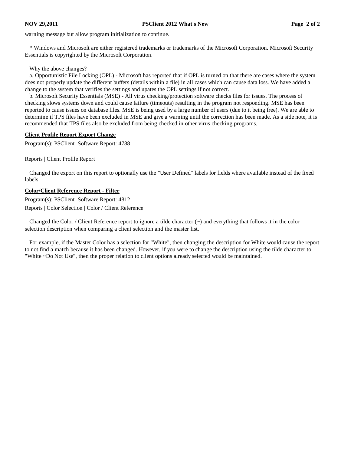warning message but allow program initialization to continue.

 \* Windows and Microsoft are either registered trademarks or trademarks of the Microsoft Corporation. Microsoft Security Essentials is copyrighted by the Microsoft Corporation.

Why the above changes?

 a. Opportunistic File Locking (OPL) - Microsoft has reported that if OPL is turned on that there are cases where the system does not properly update the different buffers (details within a file) in all cases which can cause data loss. We have added a change to the system that verifies the settings and upates the OPL settings if not correct.

 b. Microsoft Security Essentials (MSE) - All virus checking/protection software checks files for issues. The process of checking slows systems down and could cause failure (timeouts) resulting in the program not responding. MSE has been reported to cause issues on database files. MSE is being used by a large number of users (due to it being free). We are able to determine if TPS files have been excluded in MSE and give a warning until the correction has been made. As a side note, it is recommended that TPS files also be excluded from being checked in other virus checking programs.

# **Client Profile Report Export Change**

Program(s): PSClient Software Report: 4788

Reports | Client Profile Report

 Changed the export on this report to optionally use the "User Defined" labels for fields where available instead of the fixed labels.

# **Color/Client Reference Report - Filter**

Program(s): PSClient Software Report: 4812 Reports | Color Selection | Color / Client Reference

Changed the Color / Client Reference report to ignore a tilde character  $(\sim)$  and everything that follows it in the color selection description when comparing a client selection and the master list.

 For example, if the Master Color has a selection for "White", then changing the description for White would cause the report to not find a match because it has been changed. However, if you were to change the description using the tilde character to "White ~Do Not Use", then the proper relation to client options already selected would be maintained.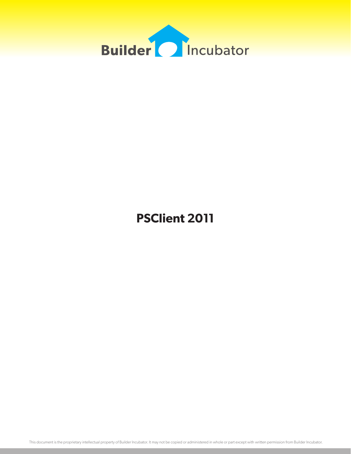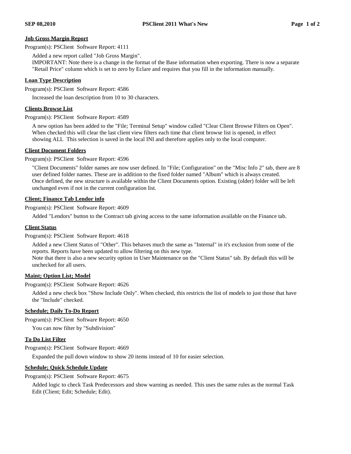# **Job Gross Margin Report**

Program(s): PSClient Software Report: 4111

Added a new report called "Job Gross Margin".

 IMPORTANT: Note there is a change in the format of the Base information when exporting. There is now a separate "Retail Price" column which is set to zero by Eclare and requires that you fill in the information manually.

#### **Loan Type Description**

Program(s): PSClient Software Report: 4586

Increased the loan description from 10 to 30 characters.

#### **Clients Browse List**

Program(s): PSClient Software Report: 4589

 A new option has been added to the "File; Terminal Setup" window called "Clear Client Browse Filters on Open". When checked this will clear the last client view filters each time that client browse list is opened, in effect showing ALL This selection is saved in the local INI and therefore applies only to the local computer.

#### **Client Document Folders**

Program(s): PSClient Software Report: 4596

 "Client Documents" folder names are now user defined. In "File; Configuration" on the "Misc Info 2" tab, there are 8 user defined folder names. These are in addition to the fixed folder named "Album" which is always created. Once defined, the new structure is available within the Client Documents option. Existing (older) folder will be left unchanged even if not in the current configuration list.

# **Client; Finance Tab Lendor info**

Program(s): PSClient Software Report: 4609

Added "Lendors" button to the Contract tab giving access to the same information available on the Finance tab.

#### **Client Status**

Program(s): PSClient Software Report: 4618

 Added a new Client Status of "Other". This behaves much the same as "Internal" in it's exclusion from some of the reports. Reports have been updated to allow filtering on this new type.

 Note that there is also a new security option in User Maintenance on the "Client Status" tab. By default this will be unchecked for all users.

# **Maint; Option List; Model**

Program(s): PSClient Software Report: 4626

 Added a new check box "Show Include Only". When checked, this restricts the list of models to just those that have the "Include" checked.

# **Schedule; Daily To-Do Report**

Program(s): PSClient Software Report: 4650

You can now filter by "Subdivision"

# **To Do List Filter**

Program(s): PSClient Software Report: 4669

Expanded the pull down window to show 20 items instead of 10 for easier selection.

# **Schedule; Quick Schedule Update**

Program(s): PSClient Software Report: 4675

 Added logic to check Task Predecessors and show warning as needed. This uses the same rules as the normal Task Edit (Client; Edit; Schedule; Edit).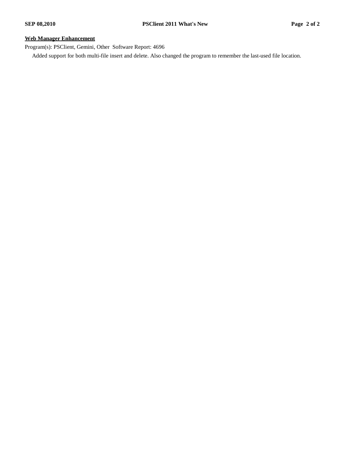# **Web Manager Enhancement**

Program(s): PSClient, Gemini, Other Software Report: 4696

Added support for both multi-file insert and delete. Also changed the program to remember the last-used file location.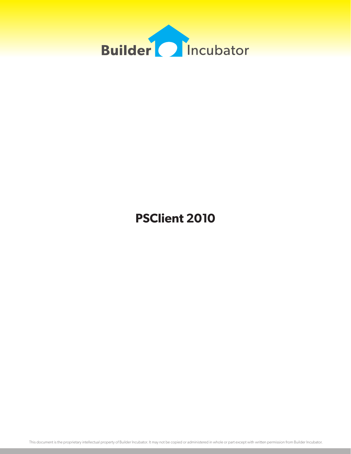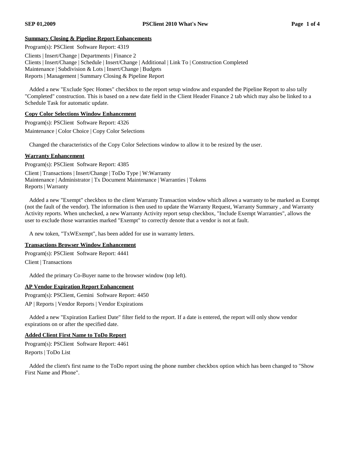# **Summary Closing & Pipeline Report Enhancements**

Program(s): PSClient Software Report: 4319 Clients | Insert/Change | Departments | Finance 2 Clients | Insert/Change | Schedule | Insert/Change | Additional | Link To | Construction Completed Maintenance | Subdivision & Lots | Insert/Change | Budgets Reports | Management | Summary Closing & Pipeline Report

 Added a new "Exclude Spec Homes" checkbox to the report setup window and expanded the Pipeline Report to also tally "Completed" construction. This is based on a new date field in the Client Header Finance 2 tab which may also be linked to a Schedule Task for automatic update.

# **Copy Color Selections Window Enhancement**

Program(s): PSClient Software Report: 4326 Maintenance | Color Choice | Copy Color Selections

Changed the characteristics of the Copy Color Selections window to allow it to be resized by the user.

# **Warranty Enhancement**

Program(s): PSClient Software Report: 4385

Client | Transactions | Insert/Change | ToDo Type | W:Warranty Maintenance | Administrator | Tx Document Maintenance | Warranties | Tokens Reports | Warranty

 Added a new "Exempt" checkbox to the client Warranty Transaction window which allows a warranty to be marked as Exempt (not the fault of the vendor). The information is then used to update the Warranty Request, Warranty Summary , and Warranty Activity reports. When unchecked, a new Warranty Activity report setup checkbox, "Include Exempt Warranties", allows the user to exclude those warranties marked "Exempt" to correctly denote that a vendor is not at fault.

A new token, "TxWExempt", has been added for use in warranty letters.

# **Transactions Browser Window Enhancement**

Program(s): PSClient Software Report: 4441 Client | Transactions

Added the primary Co-Buyer name to the browser window (top left).

# **AP Vendor Expiration Report Enhancement**

Program(s): PSClient, Gemini Software Report: 4450 AP | Reports | Vendor Reports | Vendor Expirations

 Added a new "Expiration Earliest Date" filter field to the report. If a date is entered, the report will only show vendor expirations on or after the specified date.

# **Added Client First Name to ToDo Report**

Program(s): PSClient Software Report: 4461 Reports | ToDo List

 Added the client's first name to the ToDo report using the phone number checkbox option which has been changed to "Show First Name and Phone".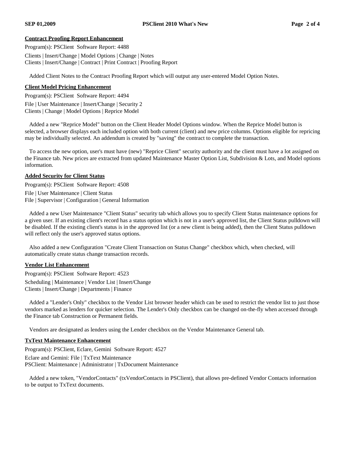# **Contract Proofing Report Enhancement**

Program(s): PSClient Software Report: 4488 Clients | Insert/Change | Model Options | Change | Notes Clients | Insert/Change | Contract | Print Contract | Proofing Report

Added Client Notes to the Contract Proofing Report which will output any user-entered Model Option Notes.

# **Client Model Pricing Enhancement**

Program(s): PSClient Software Report: 4494 File | User Maintenance | Insert/Change | Security 2 Clients | Change | Model Options | Reprice Model

 Added a new "Reprice Model" button on the Client Header Model Options window. When the Reprice Model button is selected, a browser displays each included option with both current (client) and new price columns. Options eligible for repricing may be individually selected. An addendum is created by "saving" the contract to complete the transaction.

 To access the new option, user's must have (new) "Reprice Client" security authority and the client must have a lot assigned on the Finance tab. New prices are extracted from updated Maintenance Master Option List, Subdivision & Lots, and Model options information.

# **Added Security for Client Status**

Program(s): PSClient Software Report: 4508

File | User Maintenance | Client Status

File | Supervisor | Configuration | General Information

 Added a new User Maintenance "Client Status" security tab which allows you to specify Client Status maintenance options for a given user. If an existing client's record has a status option which is not in a user's approved list, the Client Status pulldown will be disabled. If the existing client's status is in the approved list (or a new client is being added), then the Client Status pulldown will reflect only the user's approved status options.

 Also added a new Configuration "Create Client Transaction on Status Change" checkbox which, when checked, will automatically create status change transaction records.

# **Vendor List Enhancement**

Program(s): PSClient Software Report: 4523

Scheduling | Maintenance | Vendor List | Insert/Change Clients | Insert/Change | Departments | Finance

 Added a "Lender's Only" checkbox to the Vendor List browser header which can be used to restrict the vendor list to just those vendors marked as lenders for quicker selection. The Lender's Only checkbox can be changed on-the-fly when accessed through the Finance tab Construction or Permanent fields.

Vendors are designated as lenders using the Lender checkbox on the Vendor Maintenance General tab.

# **TxText Maintenance Enhancement**

Program(s): PSClient, Eclare, Gemini Software Report: 4527

Eclare and Gemini: File | TxText Maintenance PSClient: Maintenance | Administrator | TxDocument Maintenance

 Added a new token, "VendorContacts" (txVendorContacts in PSClient), that allows pre-defined Vendor Contacts information to be output to TxText documents.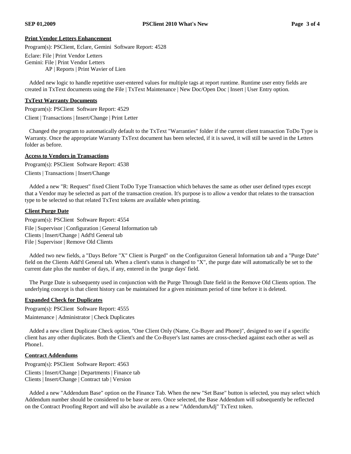#### **Print Vendor Letters Enhancement**

Program(s): PSClient, Eclare, Gemini Software Report: 4528

Eclare: File | Print Vendor Letters Gemini: File | Print Vendor Letters

AP | Reports | Print Wavier of Lien

 Added new logic to handle repetitive user-entered values for multiple tags at report runtime. Runtime user entry fields are created in TxText documents using the File | TxText Maintenance | New Doc/Open Doc | Insert | User Entry option.

#### **TxText Warranty Documents**

Program(s): PSClient Software Report: 4529 Client | Transactions | Insert/Change | Print Letter

 Changed the program to automatically default to the TxText "Warranties" folder if the current client transaction ToDo Type is Warranty. Once the appropriate Warranty TxText document has been selected, if it is saved, it will still be saved in the Letters folder as before.

#### **Access to Vendors in Transactions**

Program(s): PSClient Software Report: 4538 Clients | Transactions | Insert/Change

 Added a new "R: Request" fixed Client ToDo Type Transaction which behaves the same as other user defined types except that a Vendor may be selected as part of the transaction creation. It's purpose is to allow a vendor that relates to the transaction type to be selected so that related TxText tokens are available when printing.

# **Client Purge Date**

Program(s): PSClient Software Report: 4554 File | Supervisor | Configuration | General Information tab Clients | Insert/Change | Add'tl General tab File | Supervisor | Remove Old Clients

 Added two new fields, a "Days Before "X" Client is Purged" on the Configuraiton General Information tab and a "Purge Date" field on the Clients Add'tl General tab. When a client's status is changed to "X", the purge date will automatically be set to the current date plus the number of days, if any, entered in the 'purge days' field.

 The Purge Date is subsequenty used in conjunction with the Purge Through Date field in the Remove Old Clients option. The underlying concept is that client history can be maintained for a given minimum period of time before it is deleted.

# **Expanded Check for Duplicates**

Program(s): PSClient Software Report: 4555

Maintenance | Administrator | Check Duplicates

 Added a new client Duplicate Check option, "One Client Only (Name, Co-Buyer and Phone)", designed to see if a specific client has any other duplicates. Both the Client's and the Co-Buyer's last names are cross-checked against each other as well as Phone1.

#### **Contract Addendums**

Program(s): PSClient Software Report: 4563

Clients | Insert/Change | Departments | Finance tab Clients | Insert/Change | Contract tab | Version

 Added a new "Addendum Base" option on the Finance Tab. When the new "Set Base" button is selected, you may select which Addendum number should be considered to be base or zero. Once selected, the Base Addendum will subsequently be reflected on the Contract Proofing Report and will also be available as a new "AddendumAdj" TxText token.